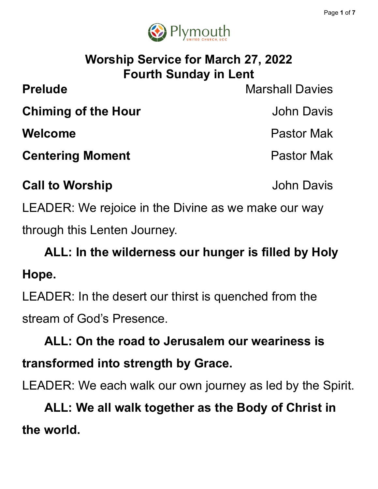

## **Worship Service for March 27, 2022 Fourth Sunday in Lent**

**Prelude** Marshall Davies **Chiming of the Hour Chiming of the Hour Welcome** Pastor Mak **Centering Moment Centering Moment** 

LEADER: We rejoice in the Divine as we make our way through this Lenten Journey.

**ALL: In the wilderness our hunger is filled by Holy Hope.**

LEADER: In the desert our thirst is quenched from the stream of God's Presence.

**ALL: On the road to Jerusalem our weariness is transformed into strength by Grace.**

LEADER: We each walk our own journey as led by the Spirit.

**ALL: We all walk together as the Body of Christ in the world.**

**Call to Worship Call to Worship John Davis**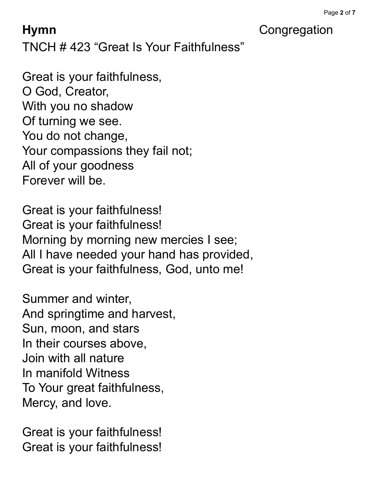**Hymn** Congregation

## TNCH # 423 "Great Is Your Faithfulness"

Great is your faithfulness, O God, Creator, With you no shadow Of turning we see. You do not change, Your compassions they fail not; All of your goodness Forever will be.

Great is your faithfulness! Great is your faithfulness! Morning by morning new mercies I see; All I have needed your hand has provided, Great is your faithfulness, God, unto me!

Summer and winter, And springtime and harvest, Sun, moon, and stars In their courses above, Join with all nature In manifold Witness To Your great faithfulness, Mercy, and love.

Great is your faithfulness! Great is your faithfulness!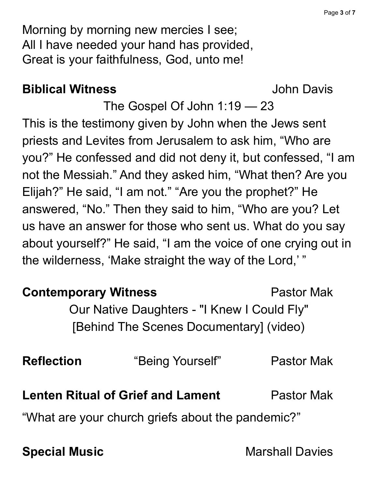Morning by morning new mercies I see; All I have needed your hand has provided,

Great is your faithfulness, God, unto me!

## **Biblical Witness** John Davis

The Gospel Of John 1:19 — 23 This is the testimony given by John when the Jews sent priests and Levites from Jerusalem to ask him, "Who are you?" He confessed and did not deny it, but confessed, "I am not the Messiah." And they asked him, "What then? Are you Elijah?" He said, "I am not." "Are you the prophet?" He answered, "No." Then they said to him, "Who are you? Let us have an answer for those who sent us. What do you say about yourself?" He said, "I am the voice of one crying out in the wilderness, 'Make straight the way of the Lord, ' "

| <b>Contemporary Witness</b>                       |                  | <b>Pastor Mak</b> |
|---------------------------------------------------|------------------|-------------------|
| Our Native Daughters - "I Knew I Could Fly"       |                  |                   |
| [Behind The Scenes Documentary] (video)           |                  |                   |
|                                                   |                  |                   |
| <b>Reflection</b>                                 | "Being Yourself" | <b>Pastor Mak</b> |
|                                                   |                  |                   |
| <b>Lenten Ritual of Grief and Lament</b>          |                  | Pastor Mak        |
| "What are your church griefs about the pandemic?" |                  |                   |

**Special Music** Marshall Davies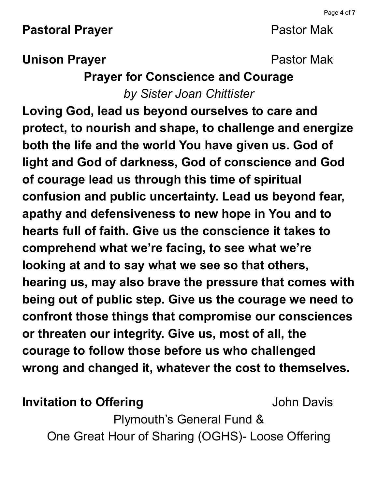### **Unison Prayer Pastor Mak**

## **Prayer for Conscience and Courage** *by Sister Joan Chittister*

**Loving God, lead us beyond ourselves to care and protect, to nourish and shape, to challenge and energize both the life and the world You have given us. God of light and God of darkness, God of conscience and God of courage lead us through this time of spiritual confusion and public uncertainty. Lead us beyond fear, apathy and defensiveness to new hope in You and to hearts full of faith. Give us the conscience it takes to comprehend what we're facing, to see what we're looking at and to say what we see so that others, hearing us, may also brave the pressure that comes with being out of public step. Give us the courage we need to confront those things that compromise our consciences or threaten our integrity. Give us, most of all, the courage to follow those before us who challenged wrong and changed it, whatever the cost to themselves.**

### **Invitation to Offering The Contract Contract Service Contracts** John Davis

Plymouth's General Fund & One Great Hour of Sharing (OGHS)- Loose Offering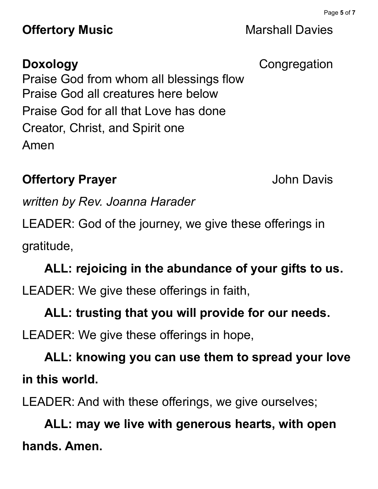**Offertory Music Marshall Davies** 

**Doxology** Congregation

Praise God from whom all blessings flow Praise God all creatures here below Praise God for all that Love has done Creator, Christ, and Spirit one Amen

## **Offertory Prayer Communist Communist Communist Communist Communist Communist Communist Communist Communist Communist Communist Communist Communist Communist Communist Communist Communist Communist Communist Communist Co**

*written by Rev. Joanna Harader*

LEADER: God of the journey, we give these offerings in gratitude,

**ALL: rejoicing in the abundance of your gifts to us.** LEADER: We give these offerings in faith,

**ALL: trusting that you will provide for our needs.**

LEADER: We give these offerings in hope,

# **ALL: knowing you can use them to spread your love in this world.**

LEADER: And with these offerings, we give ourselves;

**ALL: may we live with generous hearts, with open hands. Amen.**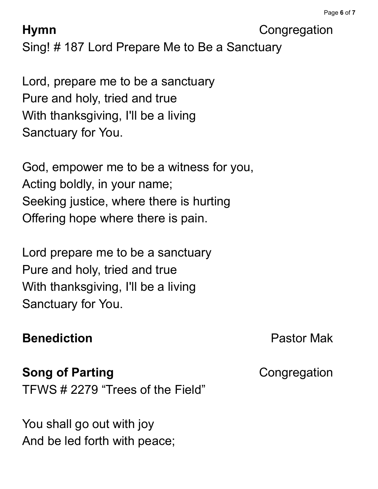**Hymn** Congregation

Sing! # 187 Lord Prepare Me to Be a Sanctuary

Lord, prepare me to be a sanctuary Pure and holy, tried and true With thanksgiving, I'll be a living Sanctuary for You.

God, empower me to be a witness for you, Acting boldly, in your name; Seeking justice, where there is hurting Offering hope where there is pain.

Lord prepare me to be a sanctuary Pure and holy, tried and true With thanksgiving, I'll be a living Sanctuary for You.

## **Benediction Pastor Mak**

## **Song of Parting Congregation**

TFWS # 2279 "Trees of the Field"

You shall go out with joy And be led forth with peace;